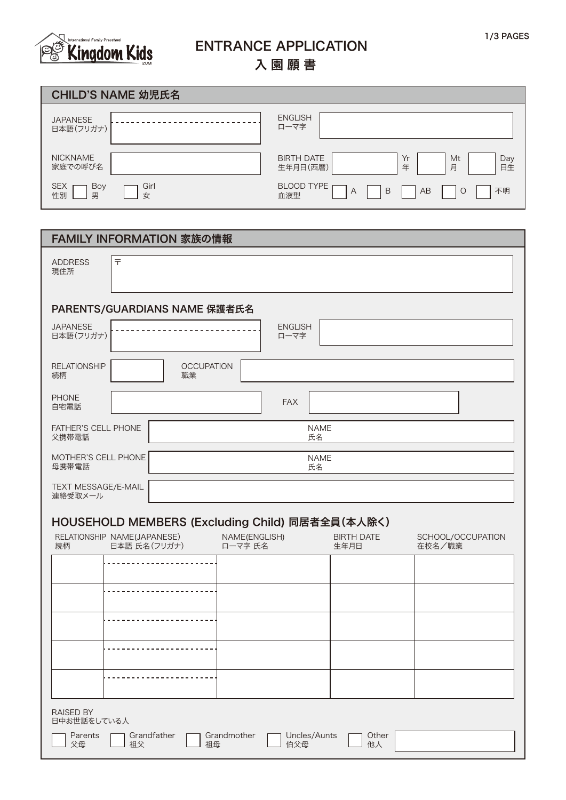

## ENTRANCE APPLICATION

入園願書

| CHILD'S NAME 幼児氏名                         |                                                                  |
|-------------------------------------------|------------------------------------------------------------------|
| <b>JAPANESE</b><br>日本語(フリガナ)              | <b>ENGLISH</b><br>ローマ字                                           |
| <b>NICKNAME</b><br>家庭での呼び名                | <b>BIRTH DATE</b><br>Yr<br>Mt<br>Day<br>日生<br>年<br>月<br>生年月日(西暦) |
| Girl<br><b>SEX</b><br>Boy<br>性別<br>男<br>女 | <b>BLOOD TYPE</b><br>AB<br>不明<br>B<br>$\circ$<br>A<br>血液型        |

| FAMILY INFORMATION 家族の情報                             |                                    |                           |                             |
|------------------------------------------------------|------------------------------------|---------------------------|-----------------------------|
| $\overline{\top}$<br><b>ADDRESS</b><br>現住所           |                                    |                           |                             |
| PARENTS/GUARDIANS NAME 保護者氏名                         |                                    |                           |                             |
| <b>JAPANESE</b><br>日本語(フリガナ)                         | <b>ENGLISH</b><br>ローマ字             |                           |                             |
| <b>RELATIONSHIP</b><br><b>OCCUPATION</b><br>続柄<br>職業 |                                    |                           |                             |
| <b>PHONE</b><br>自宅電話                                 | <b>FAX</b>                         |                           |                             |
| <b>FATHER'S CELL PHONE</b><br>父携帯電話                  | <b>NAME</b><br>氏名                  |                           |                             |
| MOTHER'S CELL PHONE<br>母携帯電話                         | <b>NAME</b><br>氏名                  |                           |                             |
| TEXT MESSAGE/E-MAIL<br>連絡受取メール                       |                                    |                           |                             |
| HOUSEHOLD MEMBERS (Excluding Child) 同居者全員(本人除く)      |                                    |                           |                             |
| RELATIONSHIP NAME(JAPANESE)<br>日本語 氏名(フリガナ)<br>続柄    | NAME(ENGLISH)<br>ローマ字 氏名           | <b>BIRTH DATE</b><br>生年月日 | SCHOOL/OCCUPATION<br>在校名/職業 |
|                                                      |                                    |                           |                             |
|                                                      |                                    |                           |                             |
|                                                      |                                    |                           |                             |
|                                                      |                                    |                           |                             |
|                                                      |                                    |                           |                             |
| <b>RAISED BY</b><br>日中お世話をしている人                      |                                    |                           |                             |
| Grandfather<br>Parents<br>父母<br>祖父<br>祖母             | Grandmother<br>Uncles/Aunts<br>伯父母 | Other<br>他人               |                             |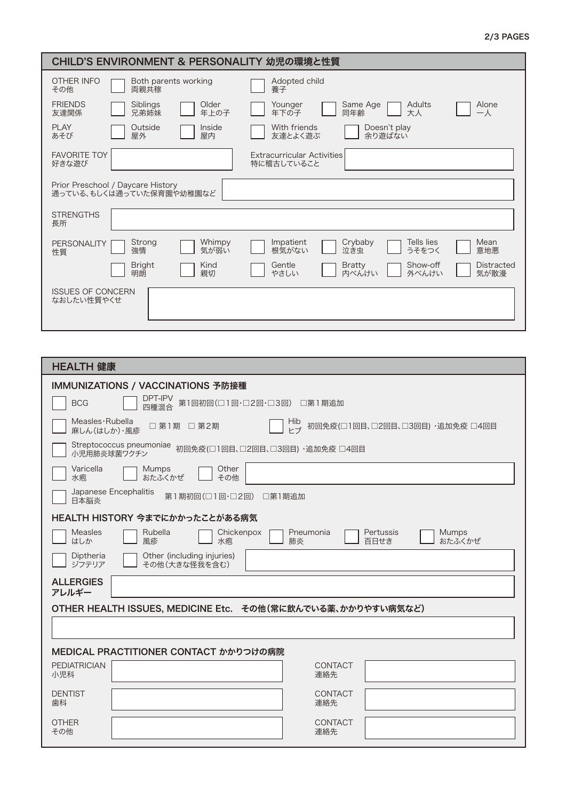## 2/3 PAGES

| CHILD'S ENVIRONMENT & PERSONALITY 幼児の環境と性質                    |                                                                                     |
|---------------------------------------------------------------|-------------------------------------------------------------------------------------|
| OTHER INFO<br>Both parents working<br>両親共稼<br>その他             | Adopted child<br>養子                                                                 |
| <b>FRIENDS</b><br>Older<br>Siblings<br>年上の子<br>友達関係<br>兄弟姉妹   | <b>Adults</b><br>Alone<br>Same Age<br>Younger<br>同年齢<br>大人<br>年下の子<br>$-\lambda$    |
| PI AY<br>Outside<br>Inside<br>屋内<br>あそび<br>屋外                 | With friends<br>Doesn't play<br>余り游ばない<br>友達とよく游ぶ                                   |
| <b>FAVORITE TOY</b><br>好きな游び                                  | <b>Extracurricular Activities</b><br>特に稽古していること                                     |
| Prior Preschool / Daycare History<br>通っている、もしくは通っていた保育園や幼稚園など |                                                                                     |
| <b>STRENGTHS</b><br>長所                                        |                                                                                     |
| Strong<br>Whimpy<br>PERSONALITY<br>強情<br>気が弱い<br>性質           | Impatient<br>Crybaby<br>Mean<br>Tells lies<br>根気がない<br>泣き虫<br>意地悪<br>うそをつく          |
| Kind<br><b>Bright</b><br>明朗<br>親切                             | Distracted<br>Gentle<br>Show-off<br><b>Bratty</b><br>気が散漫<br>やさしい<br>内べんけい<br>外べんけい |
| <b>ISSUES OF CONCERN</b><br>なおしたい性質やくせ                        |                                                                                     |

| HEALTH 健康                                                                                                                    |  |  |  |  |  |
|------------------------------------------------------------------------------------------------------------------------------|--|--|--|--|--|
| IMMUNIZATIONS / VACCINATIONS 予防接種                                                                                            |  |  |  |  |  |
| DPT-IPV<br>第1回初回(□1回·□2回·□3回) □第1期追加<br><b>BCG</b><br>四種混合                                                                   |  |  |  |  |  |
| Measles · Rubella<br>Hib<br>初回免疫(□1回目、□2回目、□3回目) ・追加免疫 □4回目<br>□ 第1期 □ 第2期<br>トブ<br>麻しん(はしか)・風疹                              |  |  |  |  |  |
| Streptococcus pneumoniae 初回免疫(□1回目、□2回目、□3回目) ·追加免疫 □4回目                                                                     |  |  |  |  |  |
| Varicella<br>Other<br><b>Mumps</b><br>おたふくかぜ<br>水疱.<br>その他                                                                   |  |  |  |  |  |
| Japanese Encephalitis<br>第1期初回(□1回·□2回)<br>□第1期追加<br>日本脳炎                                                                    |  |  |  |  |  |
| HEALTH HISTORY 今までにかかったことがある病気                                                                                               |  |  |  |  |  |
| <b>Measles</b><br>Rubella<br>Pneumonia<br>Pertussis<br><b>Mumps</b><br>Chickenpox<br>はしか<br>風疹<br>おたふくかぜ<br>水疱<br>肺炎<br>百日せき |  |  |  |  |  |
| Other (including injuries)<br>Diptheria<br>ジフテリア<br>その他(大きな怪我を含む)                                                            |  |  |  |  |  |
| <b>ALLERGIES</b><br>アレルギー                                                                                                    |  |  |  |  |  |
| OTHER HEALTH ISSUES, MEDICINE Etc. その他(常に飲んでいる薬、かかりやすい病気など)                                                                  |  |  |  |  |  |
|                                                                                                                              |  |  |  |  |  |
| MEDICAL PRACTITIONER CONTACT かかりつけの病院                                                                                        |  |  |  |  |  |
| <b>PEDIATRICIAN</b><br>CONTACT<br>小児科<br>連絡先                                                                                 |  |  |  |  |  |
| <b>DENTIST</b><br><b>CONTACT</b><br>連絡先<br>歯科                                                                                |  |  |  |  |  |
| <b>OTHER</b><br>CONTACT<br>連絡先<br>その他                                                                                        |  |  |  |  |  |